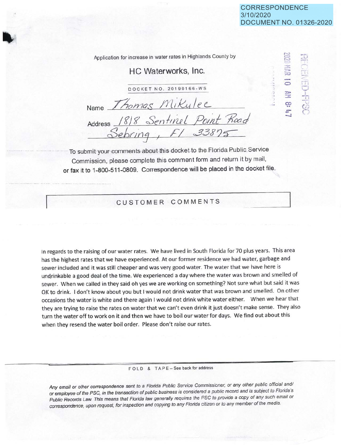,-...:, **<sup>t</sup>**= .-, **:r.:**   $<$  $: 11$ **C)** 

 $\sqrt{2}$ ~ $\mathcal{L} = \mathcal{L} \times \mathcal{L}$ 

, i rT1 i\_,; T r ř ,<sup>~</sup> *r* 

::,:,,. **3 co**   $+$ **-.J** 

Application for increase in water rates in Highlands County by

## HC Waterworks, Inc.

DOCKET NO. 20190166-WS

Name Thomas Mikulec Address /?/? *Sen/111-e <sup>L</sup>*Po1nf *1?caj*  2>eb,1n3 *1 Fl S3S2a* 

To submit your-comments about this docket to the Florida Public Service Commission, please complete this comment form and return it by mail, or fax it to 1-800-511-0809. Correspondence will be placed in the docket file.

CUSTOMER COMMENTS

In regards to the raising of our water rates. We have lived in South Florida for 70 plus years. This area has the highest rates that we have experienced. At our former residence we had water, garbage and sewer included and it was still cheaper and was very good water. The water that we have here is undrinkable a good deal of the time. We experienced a day where the water was brown and smelled of sewer. When we called in they said oh yes we are working on something? Not sure what but said it was OK to drink. I don't know about you but I would not drink water that was brown and smelled. On other occasions the water is white and there again I would not drink white water either. When we hear that they are trying to raise the rates on water that we can't even drink it just doesn't make sense. They also turn the water off to work on it and then we have to boil our water for days. We find out about this when they resend the water boil order. Please don't raise our rates.

FOLD & TAPE-See back for address

Any email or other correspondence sent to a Florida Public Service Commissioner, or any other public official and/ or employee of the PSC, in the transaction of public business is considered a public record and is subject to Florida's Public Records Law. This means that Florida law generally requires the PSC to provide a copy of any such email or correspondence, upon request, tor inspection and copying to any Florida citizen or to any member of the media.